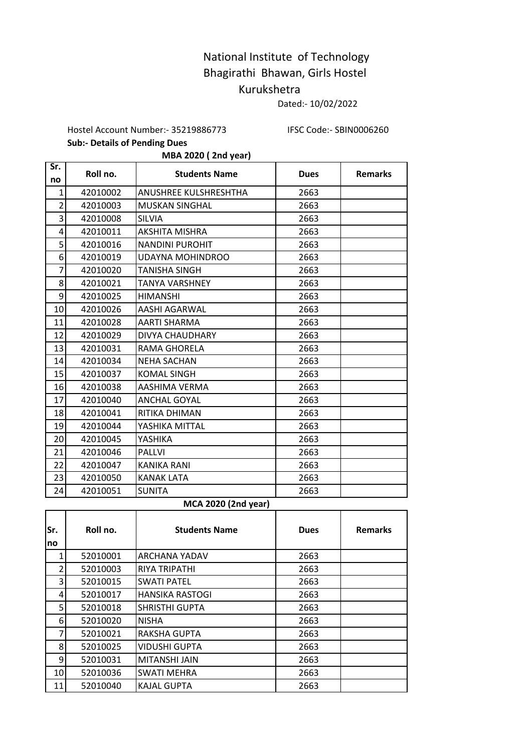## National Institute of Technology Bhagirathi Bhawan, Girls Hostel Kurukshetra

Dated:- 10/02/2022

Hostel Account Number:- 35219886773 IFSC Code:- SBIN0006260

**Sub:- Details of Pending Dues** 

**MBA 2020 ( 2nd year)**

| Sr.            | Roll no. | <b>Students Name</b>   | <b>Dues</b> | <b>Remarks</b> |
|----------------|----------|------------------------|-------------|----------------|
| no             |          |                        |             |                |
| 1              | 42010002 | ANUSHREE KULSHRESHTHA  | 2663        |                |
| $\overline{2}$ | 42010003 | <b>MUSKAN SINGHAL</b>  | 2663        |                |
| 3              | 42010008 | <b>SILVIA</b>          | 2663        |                |
| 4              | 42010011 | AKSHITA MISHRA         | 2663        |                |
| 5              | 42010016 | <b>NANDINI PUROHIT</b> | 2663        |                |
| 6              | 42010019 | UDAYNA MOHINDROO       | 2663        |                |
| 7              | 42010020 | TANISHA SINGH          | 2663        |                |
| 8              | 42010021 | <b>TANYA VARSHNEY</b>  | 2663        |                |
| 9              | 42010025 | <b>HIMANSHI</b>        | 2663        |                |
| 10             | 42010026 | AASHI AGARWAL          | 2663        |                |
| 11             | 42010028 | AARTI SHARMA           | 2663        |                |
| 12             | 42010029 | <b>DIVYA CHAUDHARY</b> | 2663        |                |
| 13             | 42010031 | RAMA GHORELA           | 2663        |                |
| 14             | 42010034 | <b>NEHA SACHAN</b>     | 2663        |                |
| 15             | 42010037 | <b>KOMAL SINGH</b>     | 2663        |                |
| 16             | 42010038 | AASHIMA VERMA          | 2663        |                |
| 17             | 42010040 | <b>ANCHAL GOYAL</b>    | 2663        |                |
| 18             | 42010041 | RITIKA DHIMAN          | 2663        |                |
| 19             | 42010044 | YASHIKA MITTAL         | 2663        |                |
| 20             | 42010045 | YASHIKA                | 2663        |                |
| 21             | 42010046 | <b>PALLVI</b>          | 2663        |                |
| 22             | 42010047 | <b>KANIKA RANI</b>     | 2663        |                |
| 23             | 42010050 | <b>KANAK LATA</b>      | 2663        |                |
| 24             | 42010051 | <b>SUNITA</b>          | 2663        |                |

## **MCA 2020 (2nd year)**

| Sr.<br>no | Roll no. | <b>Students Name</b>   | <b>Dues</b> | <b>Remarks</b> |
|-----------|----------|------------------------|-------------|----------------|
|           | 52010001 | <b>ARCHANA YADAV</b>   | 2663        |                |
| 2         | 52010003 | <b>RIYA TRIPATHI</b>   | 2663        |                |
| 3         | 52010015 | <b>SWATI PATEL</b>     | 2663        |                |
| 4         | 52010017 | <b>HANSIKA RASTOGI</b> | 2663        |                |
| 5.        | 52010018 | <b>SHRISTHI GUPTA</b>  | 2663        |                |
| 6         | 52010020 | <b>NISHA</b>           | 2663        |                |
| 7         | 52010021 | RAKSHA GUPTA           | 2663        |                |
| 8         | 52010025 | VIDUSHI GUPTA          | 2663        |                |
| 9         | 52010031 | MITANSHI JAIN          | 2663        |                |
| 10        | 52010036 | <b>SWATI MEHRA</b>     | 2663        |                |
| 11        | 52010040 | <b>KAJAL GUPTA</b>     | 2663        |                |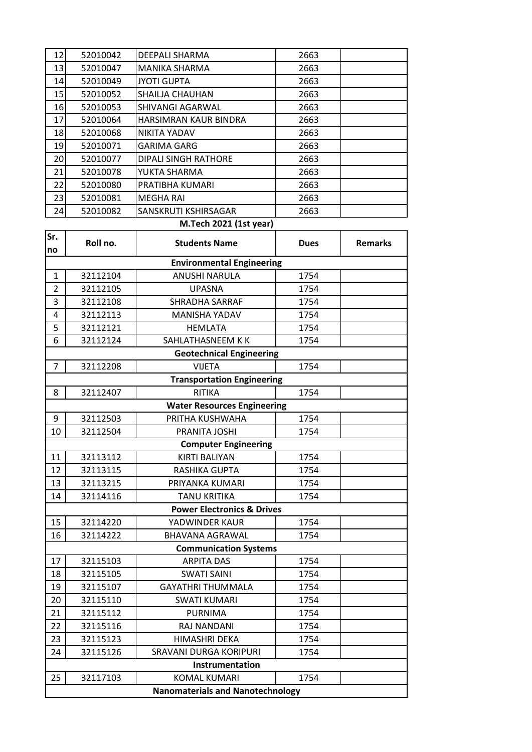| 12 | 52010042 | DEEPALI SHARMA              | 2663 |  |
|----|----------|-----------------------------|------|--|
| 13 | 52010047 | <b>MANIKA SHARMA</b>        | 2663 |  |
| 14 | 52010049 | <b>JYOTI GUPTA</b>          | 2663 |  |
| 15 | 52010052 | SHAILJA CHAUHAN             | 2663 |  |
| 16 | 52010053 | SHIVANGI AGARWAL            | 2663 |  |
| 17 | 52010064 | HARSIMRAN KAUR BINDRA       | 2663 |  |
| 18 | 52010068 | <b>NIKITA YADAV</b>         | 2663 |  |
| 19 | 52010071 | <b>GARIMA GARG</b>          | 2663 |  |
| 20 | 52010077 | <b>DIPALI SINGH RATHORE</b> | 2663 |  |
| 21 | 52010078 | YUKTA SHARMA                | 2663 |  |
| 22 | 52010080 | PRATIBHA KUMARI             | 2663 |  |
| 23 | 52010081 | <b>MEGHA RAI</b>            | 2663 |  |
| 24 | 52010082 | SANSKRUTI KSHIRSAGAR        | 2663 |  |
|    |          |                             |      |  |

## **M.Tech 2021 (1st year)**

| Sr.<br>no      | Roll no.                         | <b>Students Name</b>                    | <b>Dues</b> | <b>Remarks</b> |  |  |
|----------------|----------------------------------|-----------------------------------------|-------------|----------------|--|--|
|                | <b>Environmental Engineering</b> |                                         |             |                |  |  |
| $\mathbf{1}$   | 32112104                         | <b>ANUSHI NARULA</b>                    | 1754        |                |  |  |
| $\overline{2}$ | 32112105                         | <b>UPASNA</b>                           | 1754        |                |  |  |
| 3              | 32112108                         | <b>SHRADHA SARRAF</b>                   | 1754        |                |  |  |
| 4              | 32112113                         | <b>MANISHA YADAV</b>                    | 1754        |                |  |  |
| 5              | 32112121                         | <b>HEMLATA</b>                          | 1754        |                |  |  |
| 6              | 32112124                         | SAHLATHASNEEM K K                       | 1754        |                |  |  |
|                |                                  | <b>Geotechnical Engineering</b>         |             |                |  |  |
| 7              | 32112208                         | <b>VIJETA</b>                           | 1754        |                |  |  |
|                |                                  | <b>Transportation Engineering</b>       |             |                |  |  |
| 8              | 32112407                         | <b>RITIKA</b>                           | 1754        |                |  |  |
|                |                                  | <b>Water Resources Engineering</b>      |             |                |  |  |
| 9              | 32112503                         | PRITHA KUSHWAHA                         | 1754        |                |  |  |
| 10             | 32112504                         | PRANITA JOSHI                           | 1754        |                |  |  |
|                | <b>Computer Engineering</b>      |                                         |             |                |  |  |
| 11             | 32113112                         | KIRTI BALIYAN                           | 1754        |                |  |  |
| 12             | 32113115                         | RASHIKA GUPTA                           | 1754        |                |  |  |
| 13             | 32113215                         | PRIYANKA KUMARI                         | 1754        |                |  |  |
| 14             | 32114116                         | <b>TANU KRITIKA</b>                     | 1754        |                |  |  |
|                |                                  | <b>Power Electronics &amp; Drives</b>   |             |                |  |  |
| 15             | 32114220                         | YADWINDER KAUR                          | 1754        |                |  |  |
| 16             | 32114222                         | <b>BHAVANA AGRAWAL</b>                  | 1754        |                |  |  |
|                |                                  | <b>Communication Systems</b>            |             |                |  |  |
| 17             | 32115103                         | <b>ARPITA DAS</b>                       | 1754        |                |  |  |
| 18             | 32115105                         | <b>SWATI SAINI</b>                      | 1754        |                |  |  |
| 19             | 32115107                         | GAYATHRI THUMMALA                       | 1754        |                |  |  |
| 20             | 32115110                         | <b>SWATI KUMARI</b>                     | 1754        |                |  |  |
| 21             | 32115112                         | <b>PURNIMA</b>                          | 1754        |                |  |  |
| 22             | 32115116                         | RAJ NANDANI                             | 1754        |                |  |  |
| 23             | 32115123                         | HIMASHRI DEKA                           | 1754        |                |  |  |
| 24             | 32115126                         | SRAVANI DURGA KORIPURI                  | 1754        |                |  |  |
|                |                                  | Instrumentation                         |             |                |  |  |
| 25             | 32117103                         | <b>KOMAL KUMARI</b>                     | 1754        |                |  |  |
|                |                                  | <b>Nanomaterials and Nanotechnology</b> |             |                |  |  |